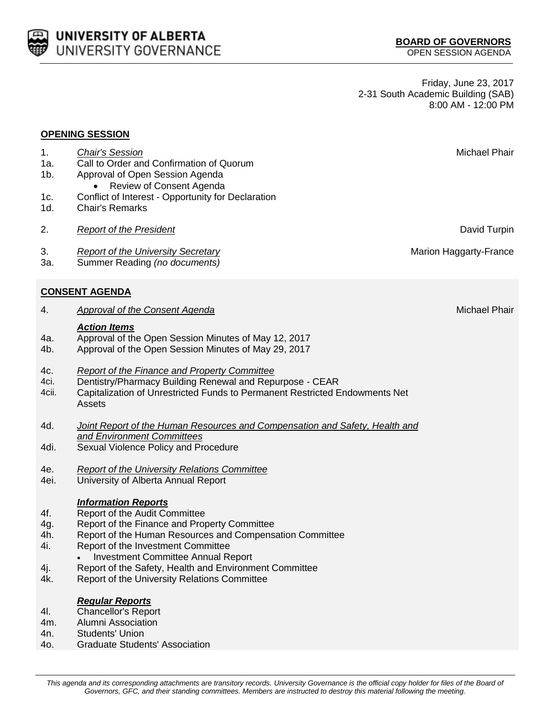This agenda and its corresponding attachments are transitory records. University Governance is the official copy holder for files of the Board of *Governors, GFC, and their standing committees. Members are instructed to destroy this material following the meeting.*

Friday, June 23, 2017 2-31 South Academic Building (SAB) 8:00 AM - 12:00 PM



**OPENING SESSION**

**UNIVERSITY OF ALBERTA** UNIVERSITY GOVERNANCE